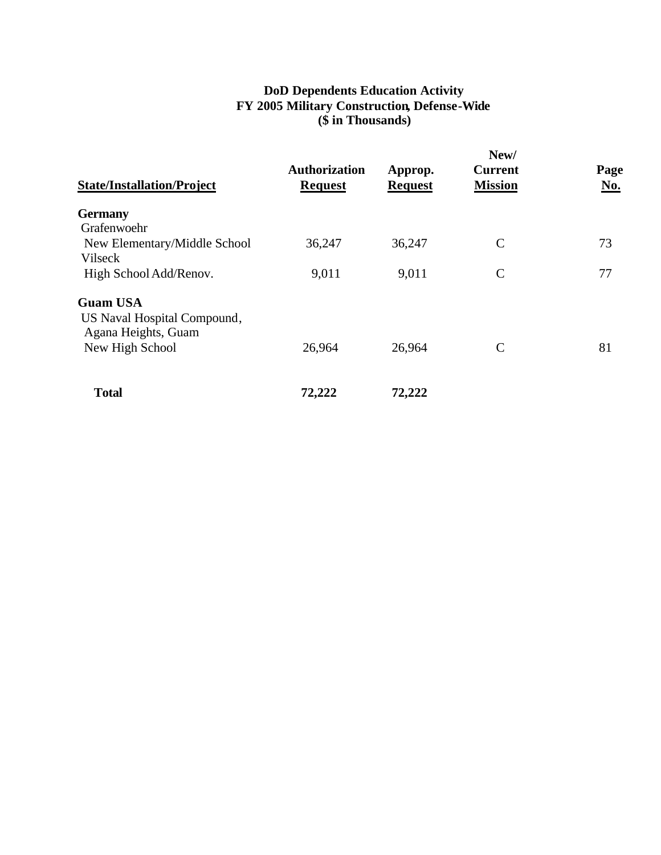## **DoD Dependents Education Activity FY 2005 Military Construction, Defense-Wide (\$ in Thousands)**

| <b>State/Installation/Project</b> | <b>Authorization</b><br><b>Request</b> | Approp.<br><b>Request</b> | New/<br><b>Current</b><br><b>Mission</b> | Page<br>No. |
|-----------------------------------|----------------------------------------|---------------------------|------------------------------------------|-------------|
| <b>Germany</b>                    |                                        |                           |                                          |             |
| Grafenwoehr                       |                                        |                           |                                          |             |
| New Elementary/Middle School      | 36,247                                 | 36,247                    | $\mathcal{C}$                            | 73          |
| Vilseck                           |                                        |                           |                                          |             |
| High School Add/Renov.            | 9,011                                  | 9,011                     | $\mathbf C$                              | 77          |
| <b>Guam USA</b>                   |                                        |                           |                                          |             |
| US Naval Hospital Compound,       |                                        |                           |                                          |             |
| Agana Heights, Guam               |                                        |                           |                                          |             |
| New High School                   | 26,964                                 | 26,964                    | $\mathcal{C}$                            | 81          |
| <b>Total</b>                      | 72,222                                 | 72,222                    |                                          |             |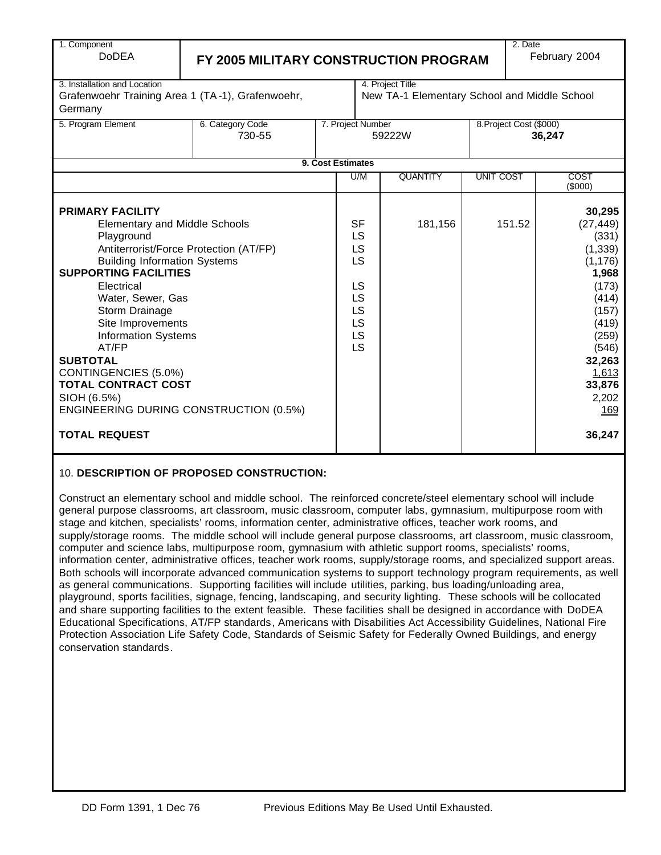| 1. Component                                  |                                                  |  |                   |                                              |                  | 2. Date                 |                        |  |
|-----------------------------------------------|--------------------------------------------------|--|-------------------|----------------------------------------------|------------------|-------------------------|------------------------|--|
| <b>DoDEA</b>                                  | FY 2005 MILITARY CONSTRUCTION PROGRAM            |  |                   |                                              |                  |                         | February 2004          |  |
|                                               |                                                  |  |                   |                                              |                  |                         |                        |  |
| 3. Installation and Location                  |                                                  |  |                   | 4. Project Title                             |                  |                         |                        |  |
|                                               | Grafenwoehr Training Area 1 (TA-1), Grafenwoehr, |  |                   | New TA-1 Elementary School and Middle School |                  |                         |                        |  |
| Germany                                       |                                                  |  |                   |                                              |                  |                         |                        |  |
| 5. Program Element                            | 6. Category Code                                 |  | 7. Project Number |                                              |                  | 8. Project Cost (\$000) |                        |  |
|                                               | 730-55                                           |  |                   | 59222W                                       |                  |                         | 36,247                 |  |
|                                               |                                                  |  |                   |                                              |                  |                         |                        |  |
|                                               |                                                  |  | 9. Cost Estimates |                                              |                  |                         |                        |  |
|                                               |                                                  |  | U/M               | <b>QUANTITY</b>                              | <b>UNIT COST</b> |                         | <b>COST</b><br>(\$000) |  |
|                                               |                                                  |  |                   |                                              |                  |                         |                        |  |
| <b>PRIMARY FACILITY</b>                       |                                                  |  |                   |                                              |                  |                         | 30,295                 |  |
| <b>Elementary and Middle Schools</b>          |                                                  |  | <b>SF</b>         | 181,156                                      |                  | 151.52                  | (27, 449)              |  |
| Playground                                    |                                                  |  | LS                |                                              |                  |                         | (331)                  |  |
|                                               | Antiterrorist/Force Protection (AT/FP)           |  | LS                |                                              |                  |                         | (1, 339)               |  |
| <b>Building Information Systems</b>           |                                                  |  | LS                |                                              |                  |                         | (1, 176)               |  |
| <b>SUPPORTING FACILITIES</b>                  |                                                  |  |                   |                                              |                  |                         | 1,968                  |  |
| Electrical                                    |                                                  |  | LS                |                                              |                  |                         | (173)                  |  |
| Water, Sewer, Gas                             |                                                  |  | LS                |                                              |                  |                         | (414)                  |  |
| Storm Drainage                                |                                                  |  | LS                |                                              |                  |                         | (157)                  |  |
| Site Improvements                             |                                                  |  | LS                |                                              |                  |                         | (419)                  |  |
| <b>Information Systems</b><br>AT/FP           |                                                  |  | LS<br>LS          |                                              |                  |                         | (259)                  |  |
| <b>SUBTOTAL</b>                               |                                                  |  |                   |                                              |                  |                         | (546)<br>32,263        |  |
| CONTINGENCIES (5.0%)                          |                                                  |  |                   |                                              |                  |                         | 1,613                  |  |
| <b>TOTAL CONTRACT COST</b>                    |                                                  |  |                   |                                              |                  |                         | 33,876                 |  |
| SIOH (6.5%)                                   |                                                  |  |                   |                                              | 2,202            |                         |                        |  |
| <b>ENGINEERING DURING CONSTRUCTION (0.5%)</b> |                                                  |  |                   |                                              |                  |                         | 169                    |  |
|                                               |                                                  |  |                   |                                              |                  |                         |                        |  |
| <b>TOTAL REQUEST</b>                          |                                                  |  |                   |                                              |                  |                         | 36,247                 |  |
|                                               |                                                  |  |                   |                                              |                  |                         |                        |  |

#### 10. **DESCRIPTION OF PROPOSED CONSTRUCTION:**

Construct an elementary school and middle school. The reinforced concrete/steel elementary school will include general purpose classrooms, art classroom, music classroom, computer labs, gymnasium, multipurpose room with stage and kitchen, specialists' rooms, information center, administrative offices, teacher work rooms, and supply/storage rooms. The middle school will include general purpose classrooms, art classroom, music classroom, computer and science labs, multipurpose room, gymnasium with athletic support rooms, specialists' rooms, information center, administrative offices, teacher work rooms, supply/storage rooms, and specialized support areas. Both schools will incorporate advanced communication systems to support technology program requirements, as well as general communications. Supporting facilities will include utilities, parking, bus loading/unloading area, playground, sports facilities, signage, fencing, landscaping, and security lighting. These schools will be collocated and share supporting facilities to the extent feasible. These facilities shall be designed in accordance with DoDEA Educational Specifications, AT/FP standards, Americans with Disabilities Act Accessibility Guidelines, National Fire Protection Association Life Safety Code, Standards of Seismic Safety for Federally Owned Buildings, and energy conservation standards.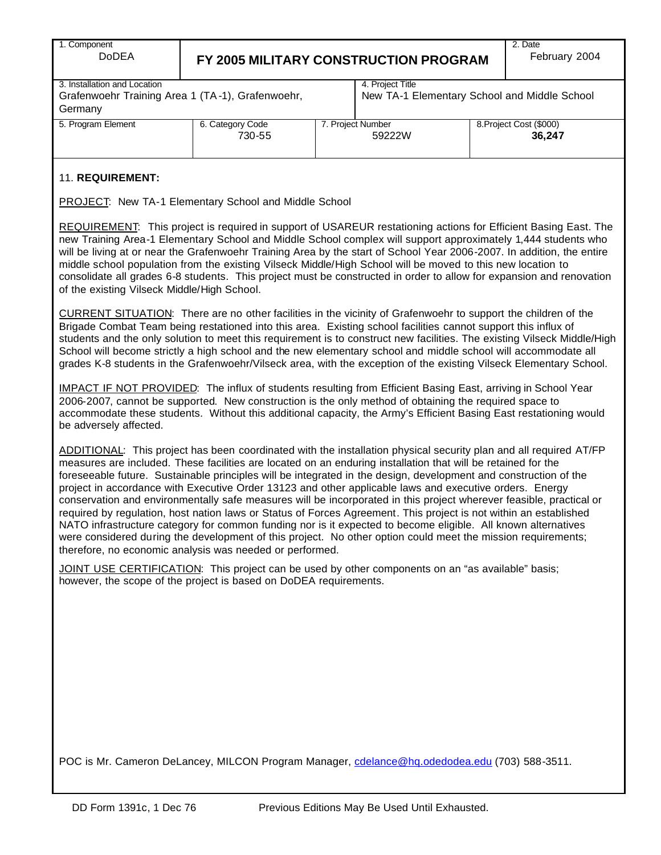| 1. Component |
|--------------|
| DoDE         |

# A **FY 2005 MILITARY CONSTRUCTION PROGRAM**

| 3. Installation and Location                     |  |
|--------------------------------------------------|--|
| Grafenwoehr Training Area 1 (TA-1), Grafenwoehr, |  |
| Germany                                          |  |

4. Project Title New TA-1 Elementary School and Middle School

| Germany            |                  |                   |                         |
|--------------------|------------------|-------------------|-------------------------|
| 5. Program Element | 6. Category Code | 7. Proiect Number | 8. Project Cost (\$000) |
|                    | 730-55           | 59222W            | 36,247                  |
|                    |                  |                   |                         |

#### 11. **REQUIREMENT:**

PROJECT: New TA-1 Elementary School and Middle School

REQUIREMENT: This project is required in support of USAREUR restationing actions for Efficient Basing East. The new Training Area-1 Elementary School and Middle School complex will support approximately 1,444 students who will be living at or near the Grafenwoehr Training Area by the start of School Year 2006-2007. In addition, the entire middle school population from the existing Vilseck Middle/High School will be moved to this new location to consolidate all grades 6-8 students. This project must be constructed in order to allow for expansion and renovation of the existing Vilseck Middle/High School.

CURRENT SITUATION: There are no other facilities in the vicinity of Grafenwoehr to support the children of the Brigade Combat Team being restationed into this area. Existing school facilities cannot support this influx of students and the only solution to meet this requirement is to construct new facilities. The existing Vilseck Middle/High School will become strictly a high school and the new elementary school and middle school will accommodate all grades K-8 students in the Grafenwoehr/Vilseck area, with the exception of the existing Vilseck Elementary School.

IMPACT IF NOT PROVIDED: The influx of students resulting from Efficient Basing East, arriving in School Year 2006-2007, cannot be supported. New construction is the only method of obtaining the required space to accommodate these students. Without this additional capacity, the Army's Efficient Basing East restationing would be adversely affected.

ADDITIONAL: This project has been coordinated with the installation physical security plan and all required AT/FP measures are included. These facilities are located on an enduring installation that will be retained for the foreseeable future. Sustainable principles will be integrated in the design, development and construction of the project in accordance with Executive Order 13123 and other applicable laws and executive orders. Energy conservation and environmentally safe measures will be incorporated in this project wherever feasible, practical or required by regulation, host nation laws or Status of Forces Agreement. This project is not within an established NATO infrastructure category for common funding nor is it expected to become eligible. All known alternatives were considered during the development of this project. No other option could meet the mission requirements; therefore, no economic analysis was needed or performed.

JOINT USE CERTIFICATION: This project can be used by other components on an "as available" basis; however, the scope of the project is based on DoDEA requirements.

POC is Mr. Cameron DeLancey, MILCON Program Manager, cdelance@hq.odedodea.edu (703) 588-3511.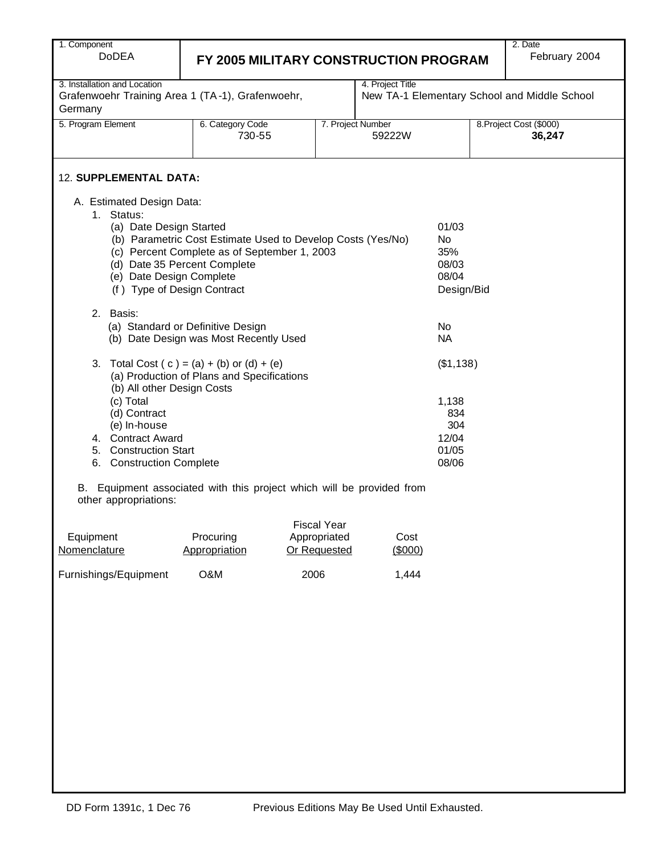| 1. Component                                                                                                                                                                                                                                                                                                                              |                                                                                           |                                                    |                             |                                   |  | 2. Date |  |  |  |  |
|-------------------------------------------------------------------------------------------------------------------------------------------------------------------------------------------------------------------------------------------------------------------------------------------------------------------------------------------|-------------------------------------------------------------------------------------------|----------------------------------------------------|-----------------------------|-----------------------------------|--|---------|--|--|--|--|
| <b>DoDEA</b>                                                                                                                                                                                                                                                                                                                              | February 2004<br>FY 2005 MILITARY CONSTRUCTION PROGRAM                                    |                                                    |                             |                                   |  |         |  |  |  |  |
| 4. Project Title<br>3. Installation and Location<br>Grafenwoehr Training Area 1 (TA-1), Grafenwoehr,<br>New TA-1 Elementary School and Middle School<br>Germany                                                                                                                                                                           |                                                                                           |                                                    |                             |                                   |  |         |  |  |  |  |
| 5. Program Element                                                                                                                                                                                                                                                                                                                        | 6. Category Code<br>730-55                                                                |                                                    | 7. Project Number<br>59222W | 8. Project Cost (\$000)<br>36,247 |  |         |  |  |  |  |
| <b>12. SUPPLEMENTAL DATA:</b>                                                                                                                                                                                                                                                                                                             |                                                                                           |                                                    |                             |                                   |  |         |  |  |  |  |
| A. Estimated Design Data:<br>1. Status:<br>01/03<br>(a) Date Design Started<br>(b) Parametric Cost Estimate Used to Develop Costs (Yes/No)<br><b>No</b><br>(c) Percent Complete as of September 1, 2003<br>35%<br>(d) Date 35 Percent Complete<br>08/03<br>(e) Date Design Complete<br>08/04<br>(f) Type of Design Contract<br>Design/Bid |                                                                                           |                                                    |                             |                                   |  |         |  |  |  |  |
| 2.<br>Basis:                                                                                                                                                                                                                                                                                                                              | (a) Standard or Definitive Design<br>(b) Date Design was Most Recently Used               |                                                    |                             | <b>No</b><br><b>NA</b>            |  |         |  |  |  |  |
| 3.                                                                                                                                                                                                                                                                                                                                        | Total Cost $(c) = (a) + (b)$ or $(d) + (e)$<br>(a) Production of Plans and Specifications |                                                    |                             | (\$1,138)                         |  |         |  |  |  |  |
| (b) All other Design Costs<br>(c) Total<br>1,138<br>(d) Contract<br>834<br>(e) In-house<br>304<br>4. Contract Award<br>12/04<br>01/05<br>5. Construction Start<br>08/06<br>6. Construction Complete                                                                                                                                       |                                                                                           |                                                    |                             |                                   |  |         |  |  |  |  |
| other appropriations:                                                                                                                                                                                                                                                                                                                     | B. Equipment associated with this project which will be provided from                     |                                                    |                             |                                   |  |         |  |  |  |  |
| Equipment<br>Nomenclature                                                                                                                                                                                                                                                                                                                 | Procuring<br>Appropriation                                                                | <b>Fiscal Year</b><br>Appropriated<br>Or Requested | Cost<br>(\$000)             |                                   |  |         |  |  |  |  |

Furnishings/Equipment O&M 2006 1,444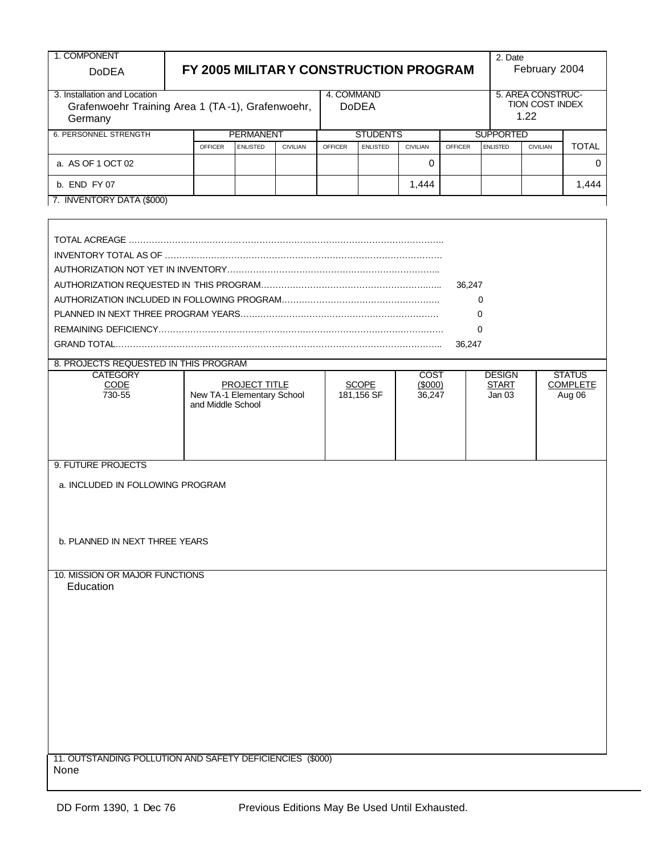| 1. COMPONENT                                                                                |                                                                         |                |                  |                                                                |                            |                 |                                         |                | 2. Date          |                                                     |              |  |
|---------------------------------------------------------------------------------------------|-------------------------------------------------------------------------|----------------|------------------|----------------------------------------------------------------|----------------------------|-----------------|-----------------------------------------|----------------|------------------|-----------------------------------------------------|--------------|--|
| <b>DoDEA</b>                                                                                | FY 2005 MILITAR Y CONSTRUCTION PROGRAM                                  |                |                  |                                                                |                            |                 |                                         |                |                  | February 2004                                       |              |  |
| 3. Installation and Location<br>Grafenwoehr Training Area 1 (TA-1), Grafenwoehr,<br>Germany |                                                                         |                |                  |                                                                | 4. COMMAND<br><b>DoDEA</b> |                 |                                         |                |                  | 5. AREA CONSTRUC-<br><b>TION COST INDEX</b><br>1.22 |              |  |
| <b>6. PERSONNEL STRENGTH</b>                                                                |                                                                         |                | <b>PERMANENT</b> |                                                                |                            | <b>STUDENTS</b> |                                         |                | <b>SUPPORTED</b> |                                                     |              |  |
|                                                                                             |                                                                         | <b>OFFICER</b> | <b>ENLISTED</b>  | <b>CIVILIAN</b>                                                | <b>OFFICER</b>             | <b>ENLISTED</b> | <b>CIVILIAN</b>                         | <b>OFFICER</b> | <b>ENLISTED</b>  | <b>CIVILIAN</b>                                     | <b>TOTAL</b> |  |
| a. AS OF 1 OCT 02                                                                           |                                                                         |                |                  |                                                                |                            |                 | 0                                       |                |                  |                                                     | 0            |  |
| b. END FY 07                                                                                |                                                                         |                |                  |                                                                |                            |                 | 1,444                                   |                |                  |                                                     | 1,444        |  |
| 7. INVENTORY DATA (\$000)                                                                   |                                                                         |                |                  |                                                                |                            |                 |                                         |                |                  |                                                     |              |  |
|                                                                                             |                                                                         |                |                  |                                                                |                            |                 |                                         |                |                  |                                                     |              |  |
|                                                                                             |                                                                         |                |                  |                                                                |                            |                 |                                         |                |                  |                                                     |              |  |
|                                                                                             |                                                                         |                |                  |                                                                |                            |                 |                                         |                |                  |                                                     |              |  |
|                                                                                             |                                                                         |                |                  |                                                                |                            |                 |                                         | 36,247         |                  |                                                     |              |  |
|                                                                                             |                                                                         |                |                  |                                                                |                            |                 |                                         |                | $\Omega$         |                                                     |              |  |
|                                                                                             |                                                                         |                |                  |                                                                |                            |                 |                                         |                | $\Omega$         |                                                     |              |  |
|                                                                                             |                                                                         |                |                  |                                                                |                            |                 |                                         |                | $\Omega$         |                                                     |              |  |
|                                                                                             |                                                                         |                |                  |                                                                |                            |                 |                                         | 36,247         |                  |                                                     |              |  |
| 8. PROJECTS REQUESTED IN THIS PROGRAM                                                       |                                                                         |                |                  |                                                                |                            |                 |                                         |                |                  |                                                     |              |  |
| <b>CATEGORY</b><br>CODE<br>730-55                                                           | <b>PROJECT TITLE</b><br>New TA-1 Elementary School<br>and Middle School |                |                  | <b>COST</b><br><b>SCOPE</b><br>(\$000)<br>181,156 SF<br>36,247 |                            |                 | <b>DESIGN</b><br><b>START</b><br>Jan 03 |                |                  | <b>STATUS</b><br><b>COMPLETE</b><br>Aug 06          |              |  |
| 9. FUTURE PROJECTS                                                                          |                                                                         |                |                  |                                                                |                            |                 |                                         |                |                  |                                                     |              |  |
| a. INCLUDED IN FOLLOWING PROGRAM                                                            |                                                                         |                |                  |                                                                |                            |                 |                                         |                |                  |                                                     |              |  |
|                                                                                             |                                                                         |                |                  |                                                                |                            |                 |                                         |                |                  |                                                     |              |  |
| b. PLANNED IN NEXT THREE YEARS                                                              |                                                                         |                |                  |                                                                |                            |                 |                                         |                |                  |                                                     |              |  |
| 10. MISSION OR MAJOR FUNCTIONS<br>Education                                                 |                                                                         |                |                  |                                                                |                            |                 |                                         |                |                  |                                                     |              |  |
|                                                                                             |                                                                         |                |                  |                                                                |                            |                 |                                         |                |                  |                                                     |              |  |
|                                                                                             |                                                                         |                |                  |                                                                |                            |                 |                                         |                |                  |                                                     |              |  |
|                                                                                             |                                                                         |                |                  |                                                                |                            |                 |                                         |                |                  |                                                     |              |  |
|                                                                                             |                                                                         |                |                  |                                                                |                            |                 |                                         |                |                  |                                                     |              |  |
|                                                                                             |                                                                         |                |                  |                                                                |                            |                 |                                         |                |                  |                                                     |              |  |
|                                                                                             |                                                                         |                |                  |                                                                |                            |                 |                                         |                |                  |                                                     |              |  |
|                                                                                             |                                                                         |                |                  |                                                                |                            |                 |                                         |                |                  |                                                     |              |  |
|                                                                                             |                                                                         |                |                  |                                                                |                            |                 |                                         |                |                  |                                                     |              |  |
|                                                                                             |                                                                         |                |                  |                                                                |                            |                 |                                         |                |                  |                                                     |              |  |
|                                                                                             |                                                                         |                |                  |                                                                |                            |                 |                                         |                |                  |                                                     |              |  |

11. OUTSTANDING POLLUTION AND SAFETY DEFICIENCIES (\$000) None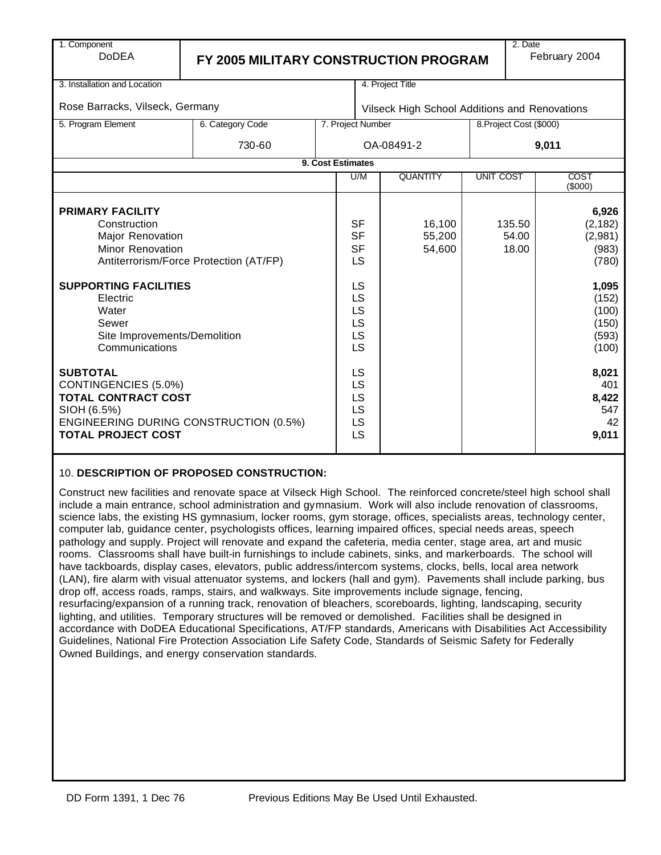| 1. Component                                                                                                                                                                                                                              |                                       |                                         |     |                                               |                  | 2. Date                                     |                                                                                                      |
|-------------------------------------------------------------------------------------------------------------------------------------------------------------------------------------------------------------------------------------------|---------------------------------------|-----------------------------------------|-----|-----------------------------------------------|------------------|---------------------------------------------|------------------------------------------------------------------------------------------------------|
| <b>DoDEA</b>                                                                                                                                                                                                                              | FY 2005 MILITARY CONSTRUCTION PROGRAM |                                         |     |                                               |                  | February 2004                               |                                                                                                      |
|                                                                                                                                                                                                                                           |                                       |                                         |     |                                               |                  |                                             |                                                                                                      |
| 3. Installation and Location                                                                                                                                                                                                              |                                       |                                         |     | 4. Project Title                              |                  |                                             |                                                                                                      |
|                                                                                                                                                                                                                                           |                                       |                                         |     |                                               |                  |                                             |                                                                                                      |
| Rose Barracks, Vilseck, Germany                                                                                                                                                                                                           |                                       |                                         |     | Vilseck High School Additions and Renovations |                  |                                             |                                                                                                      |
| 5. Program Element                                                                                                                                                                                                                        | 6. Category Code                      | 7. Project Number                       |     |                                               |                  | 8. Project Cost (\$000)                     |                                                                                                      |
|                                                                                                                                                                                                                                           | 730-60                                |                                         |     | OA-08491-2                                    |                  |                                             | 9,011                                                                                                |
|                                                                                                                                                                                                                                           |                                       | 9. Cost Estimates                       |     |                                               |                  |                                             |                                                                                                      |
|                                                                                                                                                                                                                                           |                                       |                                         | U/M | <b>QUANTITY</b>                               | <b>UNIT COST</b> |                                             | COST<br>(\$000)                                                                                      |
| <b>PRIMARY FACILITY</b><br>Construction<br>Major Renovation<br>Minor Renovation<br>Antiterrorism/Force Protection (AT/FP)<br><b>SUPPORTING FACILITIES</b><br>Electric<br>Water<br>Sewer<br>Site Improvements/Demolition<br>Communications |                                       |                                         |     | 16,100<br>55,200<br>54,600                    |                  | 135.50<br>54.00<br>18.00                    | 6,926<br>(2, 182)<br>(2,981)<br>(983)<br>(780)<br>1,095<br>(152)<br>(100)<br>(150)<br>(593)<br>(100) |
| <b>SUBTOTAL</b><br>CONTINGENCIES (5.0%)<br><b>TOTAL CONTRACT COST</b><br>SIOH (6.5%)<br><b>ENGINEERING DURING CONSTRUCTION (0.5%)</b><br><b>TOTAL PROJECT COST</b>                                                                        |                                       | <b>LS</b><br>LS<br>LS<br>LS<br>LS<br>LS |     |                                               |                  | 8,021<br>401<br>8,422<br>547<br>42<br>9,011 |                                                                                                      |

## 10. **DESCRIPTION OF PROPOSED CONSTRUCTION:**

Construct new facilities and renovate space at Vilseck High School. The reinforced concrete/steel high school shall include a main entrance, school administration and gymnasium. Work will also include renovation of classrooms, science labs, the existing HS gymnasium, locker rooms, gym storage, offices, specialists areas, technology center, computer lab, guidance center, psychologists offices, learning impaired offices, special needs areas, speech pathology and supply. Project will renovate and expand the cafeteria, media center, stage area, art and music rooms. Classrooms shall have built-in furnishings to include cabinets, sinks, and markerboards. The school will have tackboards, display cases, elevators, public address/intercom systems, clocks, bells, local area network (LAN), fire alarm with visual attenuator systems, and lockers (hall and gym). Pavements shall include parking, bus drop off, access roads, ramps, stairs, and walkways. Site improvements include signage, fencing, resurfacing/expansion of a running track, renovation of bleachers, scoreboards, lighting, landscaping, security lighting, and utilities. Temporary structures will be removed or demolished. Facilities shall be designed in accordance with DoDEA Educational Specifications, AT/FP standards, Americans with Disabilities Act Accessibility Guidelines, National Fire Protection Association Life Safety Code, Standards of Seismic Safety for Federally Owned Buildings, and energy conservation standards.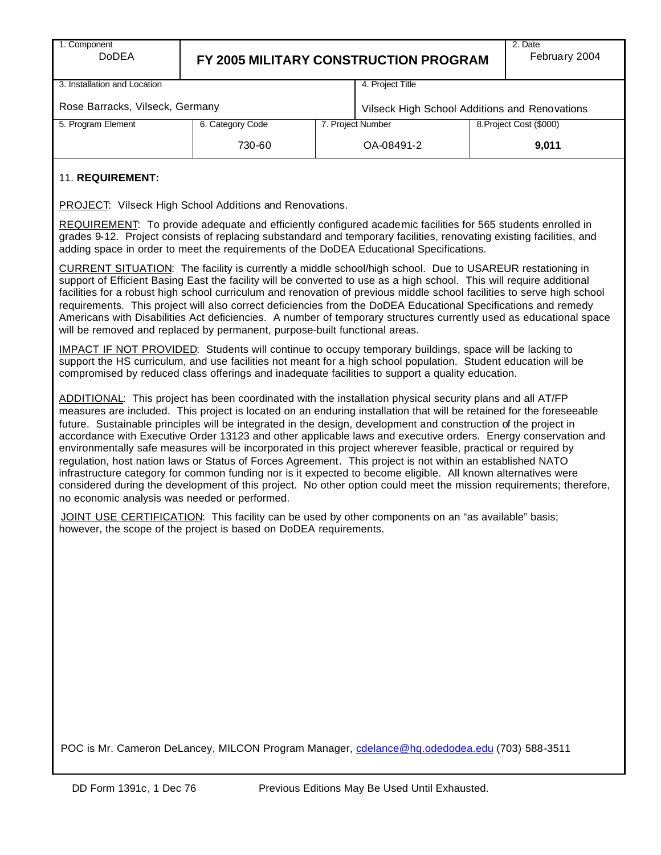1. Component

# DoDEA **FY 2005 MILITARY CONSTRUCTION PROGRAM**

3. Installation and Location

4. Project Title

Rose Barracks, Vilseck, Germany

| Rose Barracks, Vilseck, Germany |                  | Vilseck High School Additions and Renovations |            |       |  |  |
|---------------------------------|------------------|-----------------------------------------------|------------|-------|--|--|
| 5. Program Element              | 6. Category Code | 8. Project Cost (\$000)<br>7. Project Number  |            |       |  |  |
|                                 | 730-60           |                                               | OA-08491-2 | 9.011 |  |  |

### 11. **REQUIREMENT:**

PROJECT: Vilseck High School Additions and Renovations.

REQUIREMENT: To provide adequate and efficiently configured academic facilities for 565 students enrolled in grades 9-12. Project consists of replacing substandard and temporary facilities, renovating existing facilities, and adding space in order to meet the requirements of the DoDEA Educational Specifications.

CURRENT SITUATION: The facility is currently a middle school/high school. Due to USAREUR restationing in support of Efficient Basing East the facility will be converted to use as a high school. This will require additional facilities for a robust high school curriculum and renovation of previous middle school facilities to serve high school requirements. This project will also correct deficiencies from the DoDEA Educational Specifications and remedy Americans with Disabilities Act deficiencies. A number of temporary structures currently used as educational space will be removed and replaced by permanent, purpose-built functional areas.

IMPACT IF NOT PROVIDED: Students will continue to occupy temporary buildings, space will be lacking to support the HS curriculum, and use facilities not meant for a high school population. Student education will be compromised by reduced class offerings and inadequate facilities to support a quality education.

ADDITIONAL: This project has been coordinated with the installation physical security plans and all AT/FP measures are included. This project is located on an enduring installation that will be retained for the foreseeable future. Sustainable principles will be integrated in the design, development and construction of the project in accordance with Executive Order 13123 and other applicable laws and executive orders. Energy conservation and environmentally safe measures will be incorporated in this project wherever feasible, practical or required by regulation, host nation laws or Status of Forces Agreement. This project is not within an established NATO infrastructure category for common funding nor is it expected to become eligible. All known alternatives were considered during the development of this project. No other option could meet the mission requirements; therefore, no economic analysis was needed or performed.

JOINT USE CERTIFICATION: This facility can be used by other components on an "as available" basis; however, the scope of the project is based on DoDEA requirements.

POC is Mr. Cameron DeLancey, MILCON Program Manager, cdelance@hq.odedodea.edu (703) 588-3511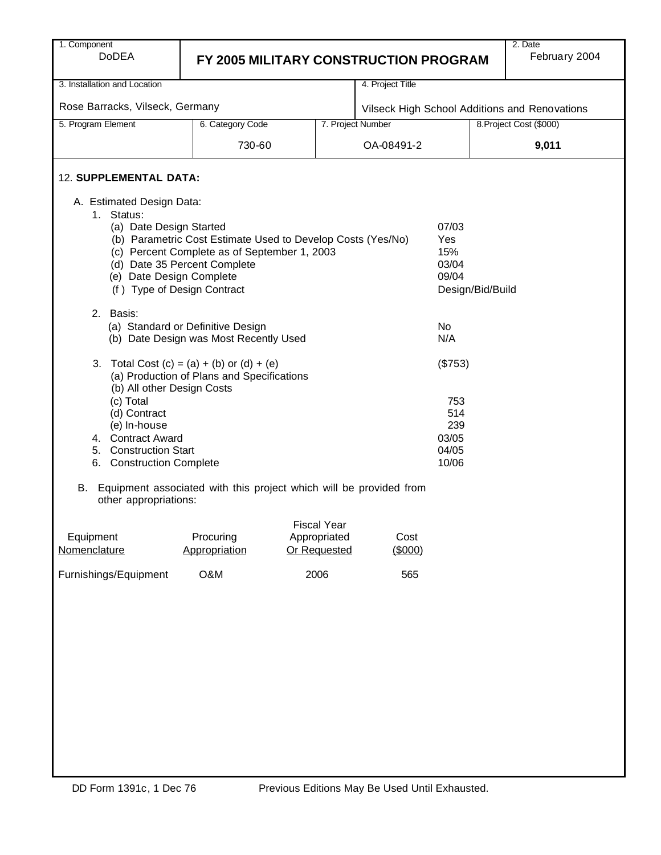| 1. Component                                  |                                                                                                             |                                                        |                   |                |                  | 2. Date                 |  |  |  |  |
|-----------------------------------------------|-------------------------------------------------------------------------------------------------------------|--------------------------------------------------------|-------------------|----------------|------------------|-------------------------|--|--|--|--|
| <b>DoDEA</b>                                  |                                                                                                             | February 2004<br>FY 2005 MILITARY CONSTRUCTION PROGRAM |                   |                |                  |                         |  |  |  |  |
|                                               |                                                                                                             |                                                        |                   |                |                  |                         |  |  |  |  |
| 3. Installation and Location                  |                                                                                                             |                                                        | 4. Project Title  |                |                  |                         |  |  |  |  |
| Rose Barracks, Vilseck, Germany               | Vilseck High School Additions and Renovations                                                               |                                                        |                   |                |                  |                         |  |  |  |  |
| 5. Program Element                            | 6. Category Code                                                                                            |                                                        | 7. Project Number |                |                  | 8. Project Cost (\$000) |  |  |  |  |
|                                               | 730-60                                                                                                      |                                                        | OA-08491-2        |                |                  | 9,011                   |  |  |  |  |
| 12. SUPPLEMENTAL DATA:                        |                                                                                                             |                                                        |                   |                |                  |                         |  |  |  |  |
| A. Estimated Design Data:                     |                                                                                                             |                                                        |                   |                |                  |                         |  |  |  |  |
| Status:<br>1.                                 |                                                                                                             |                                                        |                   |                |                  |                         |  |  |  |  |
| (a) Date Design Started                       |                                                                                                             |                                                        |                   | 07/03          |                  |                         |  |  |  |  |
|                                               | (b) Parametric Cost Estimate Used to Develop Costs (Yes/No)<br>(c) Percent Complete as of September 1, 2003 |                                                        |                   | Yes<br>15%     |                  |                         |  |  |  |  |
|                                               | (d) Date 35 Percent Complete                                                                                |                                                        |                   | 03/04          |                  |                         |  |  |  |  |
| (e) Date Design Complete                      |                                                                                                             |                                                        |                   | 09/04          |                  |                         |  |  |  |  |
| (f) Type of Design Contract                   |                                                                                                             |                                                        |                   |                | Design/Bid/Build |                         |  |  |  |  |
| 2. Basis:                                     |                                                                                                             |                                                        |                   |                |                  |                         |  |  |  |  |
|                                               | (a) Standard or Definitive Design                                                                           |                                                        |                   | No             |                  |                         |  |  |  |  |
| (b) Date Design was Most Recently Used<br>N/A |                                                                                                             |                                                        |                   |                |                  |                         |  |  |  |  |
| (b) All other Design Costs                    | 3. Total Cost $(c) = (a) + (b)$ or $(d) + (e)$<br>(a) Production of Plans and Specifications                |                                                        |                   | (\$753)        |                  |                         |  |  |  |  |
| (c) Total                                     |                                                                                                             |                                                        |                   | 753            |                  |                         |  |  |  |  |
| (d) Contract                                  |                                                                                                             |                                                        |                   | 514            |                  |                         |  |  |  |  |
| (e) In-house                                  |                                                                                                             |                                                        |                   | 239            |                  |                         |  |  |  |  |
| 4. Contract Award<br>5. Construction Start    |                                                                                                             |                                                        |                   | 03/05<br>04/05 |                  |                         |  |  |  |  |
| 6. Construction Complete                      |                                                                                                             |                                                        |                   | 10/06          |                  |                         |  |  |  |  |
| other appropriations:                         | B. Equipment associated with this project which will be provided from                                       |                                                        |                   |                |                  |                         |  |  |  |  |
|                                               |                                                                                                             |                                                        |                   |                |                  |                         |  |  |  |  |
| Equipment                                     | Procuring                                                                                                   | <b>Fiscal Year</b><br>Appropriated                     | Cost              |                |                  |                         |  |  |  |  |
| Nomenclature                                  | Appropriation                                                                                               | Or Requested                                           | (\$000)           |                |                  |                         |  |  |  |  |
| Furnishings/Equipment                         | O&M                                                                                                         | 2006                                                   | 565               |                |                  |                         |  |  |  |  |
|                                               |                                                                                                             |                                                        |                   |                |                  |                         |  |  |  |  |
|                                               |                                                                                                             |                                                        |                   |                |                  |                         |  |  |  |  |
|                                               |                                                                                                             |                                                        |                   |                |                  |                         |  |  |  |  |
|                                               |                                                                                                             |                                                        |                   |                |                  |                         |  |  |  |  |
|                                               |                                                                                                             |                                                        |                   |                |                  |                         |  |  |  |  |
|                                               |                                                                                                             |                                                        |                   |                |                  |                         |  |  |  |  |
|                                               |                                                                                                             |                                                        |                   |                |                  |                         |  |  |  |  |
|                                               |                                                                                                             |                                                        |                   |                |                  |                         |  |  |  |  |
|                                               |                                                                                                             |                                                        |                   |                |                  |                         |  |  |  |  |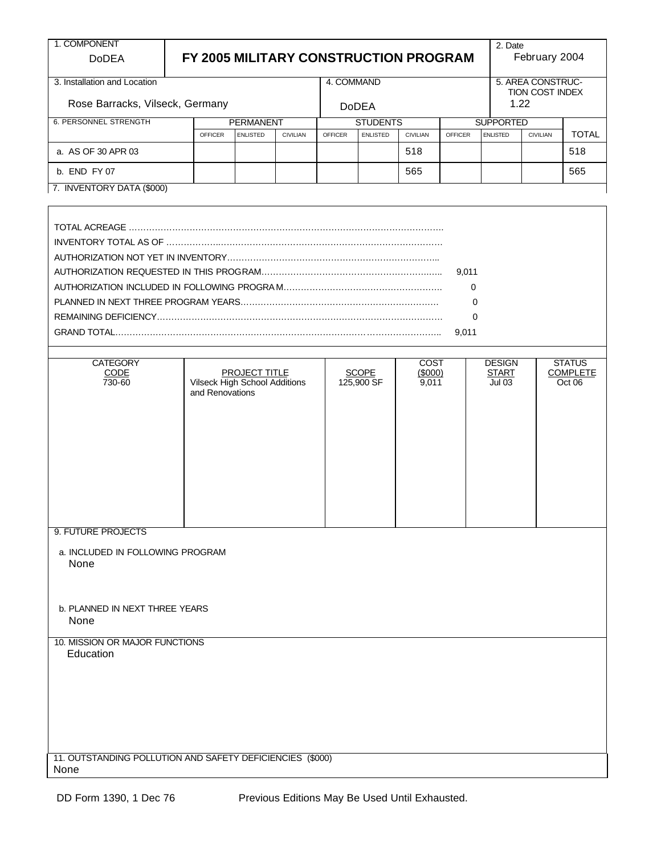| FY 2005 MILITARY CONSTRUCTION PROGRAM<br>February 2004<br><b>DoDEA</b><br>4. COMMAND<br>5. AREA CONSTRUC-<br>TION COST INDEX<br>Rose Barracks, Vilseck, Germany<br>1.22<br><b>DoDEA</b><br><b>PERMANENT</b><br><b>STUDENTS</b><br><b>SUPPORTED</b><br><b>OFFICER</b><br><b>ENLISTED</b><br><b>CIVILIAN</b><br><b>ENLISTED</b><br><b>CIVILIAN</b><br><b>OFFICER</b><br><b>ENLISTED</b><br><b>CIVILIAN</b><br><b>OFFICER</b><br>518<br>518<br>a. AS OF 30 APR 03<br>565<br>b. END FY 07<br>565<br>7. INVENTORY DATA (\$000)<br>9,011<br>0<br>0<br>$\mathbf 0$<br>9,011<br><b>CATEGORY</b><br><b>COST</b><br><b>DESIGN</b><br><b>STATUS</b><br>PROJECT TITLE<br><b>SCOPE</b><br><b>COMPLETE</b><br>CODE<br>(5000)<br><b>START</b><br><b>Vilseck High School Additions</b><br>125,900 SF<br>730-60<br>9,011<br><b>Jul 03</b><br>Oct 06<br>and Renovations<br>9. FUTURE PROJECTS<br>a. INCLUDED IN FOLLOWING PROGRAM<br>None<br>b. PLANNED IN NEXT THREE YEARS<br>None<br>10. MISSION OR MAJOR FUNCTIONS<br>Education<br>11. OUTSTANDING POLLUTION AND SAFETY DEFICIENCIES (\$000)<br>None | 1. COMPONENT                 |  |  |  |  |  |  |  |  | 2. Date |  |              |
|---------------------------------------------------------------------------------------------------------------------------------------------------------------------------------------------------------------------------------------------------------------------------------------------------------------------------------------------------------------------------------------------------------------------------------------------------------------------------------------------------------------------------------------------------------------------------------------------------------------------------------------------------------------------------------------------------------------------------------------------------------------------------------------------------------------------------------------------------------------------------------------------------------------------------------------------------------------------------------------------------------------------------------------------------------------------------------------|------------------------------|--|--|--|--|--|--|--|--|---------|--|--------------|
|                                                                                                                                                                                                                                                                                                                                                                                                                                                                                                                                                                                                                                                                                                                                                                                                                                                                                                                                                                                                                                                                                       |                              |  |  |  |  |  |  |  |  |         |  |              |
|                                                                                                                                                                                                                                                                                                                                                                                                                                                                                                                                                                                                                                                                                                                                                                                                                                                                                                                                                                                                                                                                                       | 3. Installation and Location |  |  |  |  |  |  |  |  |         |  |              |
|                                                                                                                                                                                                                                                                                                                                                                                                                                                                                                                                                                                                                                                                                                                                                                                                                                                                                                                                                                                                                                                                                       |                              |  |  |  |  |  |  |  |  |         |  |              |
|                                                                                                                                                                                                                                                                                                                                                                                                                                                                                                                                                                                                                                                                                                                                                                                                                                                                                                                                                                                                                                                                                       | <b>6. PERSONNEL STRENGTH</b> |  |  |  |  |  |  |  |  |         |  |              |
|                                                                                                                                                                                                                                                                                                                                                                                                                                                                                                                                                                                                                                                                                                                                                                                                                                                                                                                                                                                                                                                                                       |                              |  |  |  |  |  |  |  |  |         |  | <b>TOTAL</b> |
|                                                                                                                                                                                                                                                                                                                                                                                                                                                                                                                                                                                                                                                                                                                                                                                                                                                                                                                                                                                                                                                                                       |                              |  |  |  |  |  |  |  |  |         |  |              |
|                                                                                                                                                                                                                                                                                                                                                                                                                                                                                                                                                                                                                                                                                                                                                                                                                                                                                                                                                                                                                                                                                       |                              |  |  |  |  |  |  |  |  |         |  |              |
|                                                                                                                                                                                                                                                                                                                                                                                                                                                                                                                                                                                                                                                                                                                                                                                                                                                                                                                                                                                                                                                                                       |                              |  |  |  |  |  |  |  |  |         |  |              |
|                                                                                                                                                                                                                                                                                                                                                                                                                                                                                                                                                                                                                                                                                                                                                                                                                                                                                                                                                                                                                                                                                       |                              |  |  |  |  |  |  |  |  |         |  |              |
|                                                                                                                                                                                                                                                                                                                                                                                                                                                                                                                                                                                                                                                                                                                                                                                                                                                                                                                                                                                                                                                                                       |                              |  |  |  |  |  |  |  |  |         |  |              |
|                                                                                                                                                                                                                                                                                                                                                                                                                                                                                                                                                                                                                                                                                                                                                                                                                                                                                                                                                                                                                                                                                       |                              |  |  |  |  |  |  |  |  |         |  |              |
|                                                                                                                                                                                                                                                                                                                                                                                                                                                                                                                                                                                                                                                                                                                                                                                                                                                                                                                                                                                                                                                                                       |                              |  |  |  |  |  |  |  |  |         |  |              |
|                                                                                                                                                                                                                                                                                                                                                                                                                                                                                                                                                                                                                                                                                                                                                                                                                                                                                                                                                                                                                                                                                       |                              |  |  |  |  |  |  |  |  |         |  |              |
|                                                                                                                                                                                                                                                                                                                                                                                                                                                                                                                                                                                                                                                                                                                                                                                                                                                                                                                                                                                                                                                                                       |                              |  |  |  |  |  |  |  |  |         |  |              |
|                                                                                                                                                                                                                                                                                                                                                                                                                                                                                                                                                                                                                                                                                                                                                                                                                                                                                                                                                                                                                                                                                       |                              |  |  |  |  |  |  |  |  |         |  |              |
|                                                                                                                                                                                                                                                                                                                                                                                                                                                                                                                                                                                                                                                                                                                                                                                                                                                                                                                                                                                                                                                                                       |                              |  |  |  |  |  |  |  |  |         |  |              |
|                                                                                                                                                                                                                                                                                                                                                                                                                                                                                                                                                                                                                                                                                                                                                                                                                                                                                                                                                                                                                                                                                       |                              |  |  |  |  |  |  |  |  |         |  |              |
|                                                                                                                                                                                                                                                                                                                                                                                                                                                                                                                                                                                                                                                                                                                                                                                                                                                                                                                                                                                                                                                                                       |                              |  |  |  |  |  |  |  |  |         |  |              |
|                                                                                                                                                                                                                                                                                                                                                                                                                                                                                                                                                                                                                                                                                                                                                                                                                                                                                                                                                                                                                                                                                       |                              |  |  |  |  |  |  |  |  |         |  |              |
|                                                                                                                                                                                                                                                                                                                                                                                                                                                                                                                                                                                                                                                                                                                                                                                                                                                                                                                                                                                                                                                                                       |                              |  |  |  |  |  |  |  |  |         |  |              |
|                                                                                                                                                                                                                                                                                                                                                                                                                                                                                                                                                                                                                                                                                                                                                                                                                                                                                                                                                                                                                                                                                       |                              |  |  |  |  |  |  |  |  |         |  |              |
|                                                                                                                                                                                                                                                                                                                                                                                                                                                                                                                                                                                                                                                                                                                                                                                                                                                                                                                                                                                                                                                                                       |                              |  |  |  |  |  |  |  |  |         |  |              |
|                                                                                                                                                                                                                                                                                                                                                                                                                                                                                                                                                                                                                                                                                                                                                                                                                                                                                                                                                                                                                                                                                       |                              |  |  |  |  |  |  |  |  |         |  |              |
|                                                                                                                                                                                                                                                                                                                                                                                                                                                                                                                                                                                                                                                                                                                                                                                                                                                                                                                                                                                                                                                                                       |                              |  |  |  |  |  |  |  |  |         |  |              |
|                                                                                                                                                                                                                                                                                                                                                                                                                                                                                                                                                                                                                                                                                                                                                                                                                                                                                                                                                                                                                                                                                       |                              |  |  |  |  |  |  |  |  |         |  |              |
|                                                                                                                                                                                                                                                                                                                                                                                                                                                                                                                                                                                                                                                                                                                                                                                                                                                                                                                                                                                                                                                                                       |                              |  |  |  |  |  |  |  |  |         |  |              |
|                                                                                                                                                                                                                                                                                                                                                                                                                                                                                                                                                                                                                                                                                                                                                                                                                                                                                                                                                                                                                                                                                       |                              |  |  |  |  |  |  |  |  |         |  |              |
|                                                                                                                                                                                                                                                                                                                                                                                                                                                                                                                                                                                                                                                                                                                                                                                                                                                                                                                                                                                                                                                                                       |                              |  |  |  |  |  |  |  |  |         |  |              |
|                                                                                                                                                                                                                                                                                                                                                                                                                                                                                                                                                                                                                                                                                                                                                                                                                                                                                                                                                                                                                                                                                       |                              |  |  |  |  |  |  |  |  |         |  |              |
|                                                                                                                                                                                                                                                                                                                                                                                                                                                                                                                                                                                                                                                                                                                                                                                                                                                                                                                                                                                                                                                                                       |                              |  |  |  |  |  |  |  |  |         |  |              |
|                                                                                                                                                                                                                                                                                                                                                                                                                                                                                                                                                                                                                                                                                                                                                                                                                                                                                                                                                                                                                                                                                       |                              |  |  |  |  |  |  |  |  |         |  |              |
|                                                                                                                                                                                                                                                                                                                                                                                                                                                                                                                                                                                                                                                                                                                                                                                                                                                                                                                                                                                                                                                                                       |                              |  |  |  |  |  |  |  |  |         |  |              |
|                                                                                                                                                                                                                                                                                                                                                                                                                                                                                                                                                                                                                                                                                                                                                                                                                                                                                                                                                                                                                                                                                       |                              |  |  |  |  |  |  |  |  |         |  |              |
|                                                                                                                                                                                                                                                                                                                                                                                                                                                                                                                                                                                                                                                                                                                                                                                                                                                                                                                                                                                                                                                                                       |                              |  |  |  |  |  |  |  |  |         |  |              |
|                                                                                                                                                                                                                                                                                                                                                                                                                                                                                                                                                                                                                                                                                                                                                                                                                                                                                                                                                                                                                                                                                       |                              |  |  |  |  |  |  |  |  |         |  |              |
|                                                                                                                                                                                                                                                                                                                                                                                                                                                                                                                                                                                                                                                                                                                                                                                                                                                                                                                                                                                                                                                                                       |                              |  |  |  |  |  |  |  |  |         |  |              |
|                                                                                                                                                                                                                                                                                                                                                                                                                                                                                                                                                                                                                                                                                                                                                                                                                                                                                                                                                                                                                                                                                       |                              |  |  |  |  |  |  |  |  |         |  |              |
|                                                                                                                                                                                                                                                                                                                                                                                                                                                                                                                                                                                                                                                                                                                                                                                                                                                                                                                                                                                                                                                                                       |                              |  |  |  |  |  |  |  |  |         |  |              |
|                                                                                                                                                                                                                                                                                                                                                                                                                                                                                                                                                                                                                                                                                                                                                                                                                                                                                                                                                                                                                                                                                       |                              |  |  |  |  |  |  |  |  |         |  |              |
|                                                                                                                                                                                                                                                                                                                                                                                                                                                                                                                                                                                                                                                                                                                                                                                                                                                                                                                                                                                                                                                                                       |                              |  |  |  |  |  |  |  |  |         |  |              |
|                                                                                                                                                                                                                                                                                                                                                                                                                                                                                                                                                                                                                                                                                                                                                                                                                                                                                                                                                                                                                                                                                       |                              |  |  |  |  |  |  |  |  |         |  |              |
|                                                                                                                                                                                                                                                                                                                                                                                                                                                                                                                                                                                                                                                                                                                                                                                                                                                                                                                                                                                                                                                                                       |                              |  |  |  |  |  |  |  |  |         |  |              |
|                                                                                                                                                                                                                                                                                                                                                                                                                                                                                                                                                                                                                                                                                                                                                                                                                                                                                                                                                                                                                                                                                       |                              |  |  |  |  |  |  |  |  |         |  |              |
|                                                                                                                                                                                                                                                                                                                                                                                                                                                                                                                                                                                                                                                                                                                                                                                                                                                                                                                                                                                                                                                                                       |                              |  |  |  |  |  |  |  |  |         |  |              |
|                                                                                                                                                                                                                                                                                                                                                                                                                                                                                                                                                                                                                                                                                                                                                                                                                                                                                                                                                                                                                                                                                       |                              |  |  |  |  |  |  |  |  |         |  |              |
|                                                                                                                                                                                                                                                                                                                                                                                                                                                                                                                                                                                                                                                                                                                                                                                                                                                                                                                                                                                                                                                                                       |                              |  |  |  |  |  |  |  |  |         |  |              |
|                                                                                                                                                                                                                                                                                                                                                                                                                                                                                                                                                                                                                                                                                                                                                                                                                                                                                                                                                                                                                                                                                       |                              |  |  |  |  |  |  |  |  |         |  |              |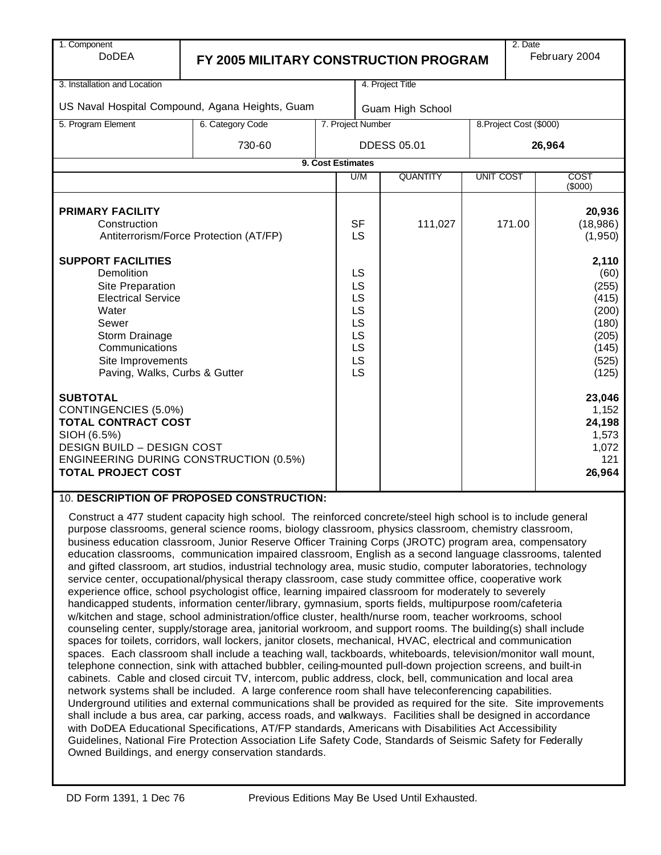| 1. Component<br><b>DoDEA</b>                                                                                                                                                                         | FY 2005 MILITARY CONSTRUCTION PROGRAM                                                                                                                                                                                                                                                                                                                                         |                                                                  |     |                    |                  | 2. Date                                                                               | February 2004                  |
|------------------------------------------------------------------------------------------------------------------------------------------------------------------------------------------------------|-------------------------------------------------------------------------------------------------------------------------------------------------------------------------------------------------------------------------------------------------------------------------------------------------------------------------------------------------------------------------------|------------------------------------------------------------------|-----|--------------------|------------------|---------------------------------------------------------------------------------------|--------------------------------|
|                                                                                                                                                                                                      |                                                                                                                                                                                                                                                                                                                                                                               |                                                                  |     |                    |                  |                                                                                       |                                |
| 3. Installation and Location                                                                                                                                                                         |                                                                                                                                                                                                                                                                                                                                                                               |                                                                  |     | 4. Project Title   |                  |                                                                                       |                                |
|                                                                                                                                                                                                      | US Naval Hospital Compound, Agana Heights, Guam                                                                                                                                                                                                                                                                                                                               |                                                                  |     | Guam High School   |                  |                                                                                       |                                |
| 5. Program Element                                                                                                                                                                                   | 6. Category Code                                                                                                                                                                                                                                                                                                                                                              | 7. Project Number                                                |     |                    |                  | 8. Project Cost (\$000)                                                               |                                |
|                                                                                                                                                                                                      | 730-60                                                                                                                                                                                                                                                                                                                                                                        |                                                                  |     | <b>DDESS 05.01</b> |                  | 26,964                                                                                |                                |
|                                                                                                                                                                                                      |                                                                                                                                                                                                                                                                                                                                                                               | 9. Cost Estimates                                                |     |                    |                  |                                                                                       |                                |
|                                                                                                                                                                                                      |                                                                                                                                                                                                                                                                                                                                                                               |                                                                  | U/M | <b>QUANTITY</b>    | <b>UNIT COST</b> |                                                                                       | COST<br>$($ \$000)             |
| <b>PRIMARY FACILITY</b><br>Construction<br>Antiterrorism/Force Protection (AT/FP)                                                                                                                    |                                                                                                                                                                                                                                                                                                                                                                               |                                                                  |     | 111,027            |                  | 171.00                                                                                | 20,936<br>(18,986)<br>(1, 950) |
| <b>SUPPORT FACILITIES</b><br>Demolition<br>Site Preparation<br><b>Electrical Service</b><br>Water<br>Sewer<br>Storm Drainage<br>Communications<br>Site Improvements<br>Paving, Walks, Curbs & Gutter |                                                                                                                                                                                                                                                                                                                                                                               | <b>LS</b><br>LS<br>LS<br>LS<br>LS<br>LS<br><b>LS</b><br>LS<br>LS |     |                    |                  | 2,110<br>(60)<br>(255)<br>(415)<br>(200)<br>(180)<br>(205)<br>(145)<br>(525)<br>(125) |                                |
| <b>SUBTOTAL</b><br>CONTINGENCIES (5.0%)<br><b>TOTAL CONTRACT COST</b><br>SIOH (6.5%)<br><b>DESIGN BUILD - DESIGN COST</b><br>ENGINEERING DURING CONSTRUCTION (0.5%)<br><b>TOTAL PROJECT COST</b>     |                                                                                                                                                                                                                                                                                                                                                                               |                                                                  |     |                    |                  | 23,046<br>1,152<br>24,198<br>1,573<br>1,072<br>121<br>26,964                          |                                |
|                                                                                                                                                                                                      | 10. DESCRIPTION OF PROPOSED CONSTRUCTION:<br>Construct a 477 student capacity high school. The reinforced concrete/steel high school is to include general<br>purpose classrooms, general science rooms, biology classroom, physics classroom, chemistry classroom,<br>business education classroom, Junior Reserve Officer Training Corps (JROTC) program area, compensatory |                                                                  |     |                    |                  |                                                                                       |                                |

business education classroom, Junior Reserve Officer Training Corps (JROTC) program area, compensatory education classrooms, communication impaired classroom, English as a second language classrooms, talented and gifted classroom, art studios, industrial technology area, music studio, computer laboratories, technology service center, occupational/physical therapy classroom, case study committee office, cooperative work experience office, school psychologist office, learning impaired classroom for moderately to severely handicapped students, information center/library, gymnasium, sports fields, multipurpose room/cafeteria w/kitchen and stage, school administration/office cluster, health/nurse room, teacher workrooms, school counseling center, supply/storage area, janitorial workroom, and support rooms. The building(s) shall include spaces for toilets, corridors, wall lockers, janitor closets, mechanical, HVAC, electrical and communication spaces. Each classroom shall include a teaching wall, tackboards, whiteboards, television/monitor wall mount, telephone connection, sink with attached bubbler, ceiling-mounted pull-down projection screens, and built-in cabinets. Cable and closed circuit TV, intercom, public address, clock, bell, communication and local area network systems shall be included. A large conference room shall have teleconferencing capabilities. Underground utilities and external communications shall be provided as required for the site. Site improvements shall include a bus area, car parking, access roads, and walkways. Facilities shall be designed in accordance with DoDEA Educational Specifications, AT/FP standards, Americans with Disabilities Act Accessibility Guidelines, National Fire Protection Association Life Safety Code, Standards of Seismic Safety for Federally Owned Buildings, and energy conservation standards.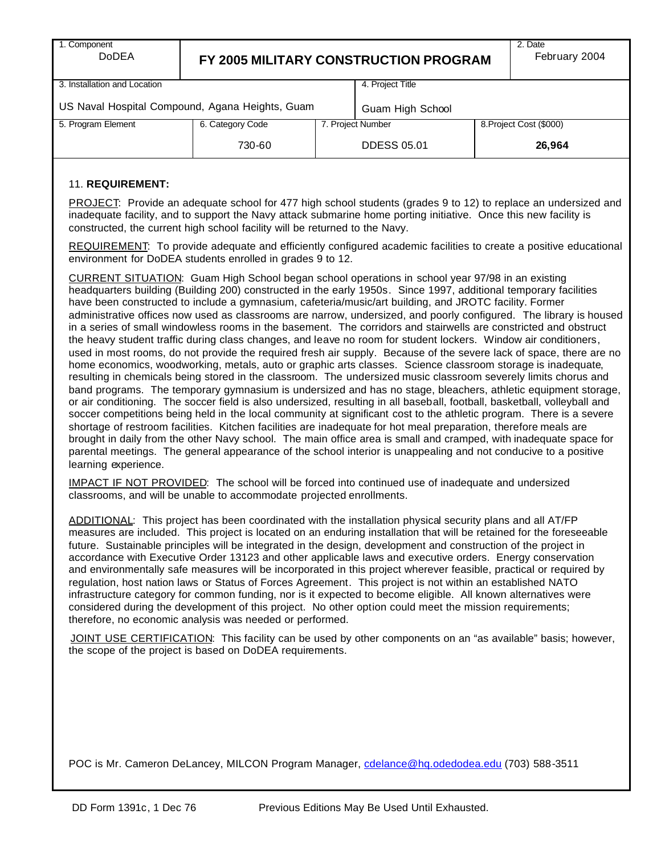| 1. Component<br><b>DoDEA</b>                    | FY 2005 MILITARY CONSTRUCTION PROGRAM | 2. Date<br>February 2004 |                  |  |                         |  |  |
|-------------------------------------------------|---------------------------------------|--------------------------|------------------|--|-------------------------|--|--|
| 3. Installation and Location                    |                                       |                          | 4. Project Title |  |                         |  |  |
| US Naval Hospital Compound, Agana Heights, Guam |                                       | Guam High School         |                  |  |                         |  |  |
| 5. Program Element                              | 7. Project Number<br>6. Category Code |                          |                  |  | 8. Project Cost (\$000) |  |  |
|                                                 | 730-60                                | <b>DDESS 05.01</b>       |                  |  | 26,964                  |  |  |

#### 11. **REQUIREMENT:**

PROJECT: Provide an adequate school for 477 high school students (grades 9 to 12) to replace an undersized and inadequate facility, and to support the Navy attack submarine home porting initiative. Once this new facility is constructed, the current high school facility will be returned to the Navy.

REQUIREMENT: To provide adequate and efficiently configured academic facilities to create a positive educational environment for DoDEA students enrolled in grades 9 to 12.

CURRENT SITUATION: Guam High School began school operations in school year 97/98 in an existing headquarters building (Building 200) constructed in the early 1950s. Since 1997, additional temporary facilities have been constructed to include a gymnasium, cafeteria/music/art building, and JROTC facility. Former administrative offices now used as classrooms are narrow, undersized, and poorly configured. The library is housed in a series of small windowless rooms in the basement. The corridors and stairwells are constricted and obstruct the heavy student traffic during class changes, and leave no room for student lockers. Window air conditioners, used in most rooms, do not provide the required fresh air supply. Because of the severe lack of space, there are no home economics, woodworking, metals, auto or graphic arts classes. Science classroom storage is inadequate, resulting in chemicals being stored in the classroom. The undersized music classroom severely limits chorus and band programs. The temporary gymnasium is undersized and has no stage, bleachers, athletic equipment storage, or air conditioning. The soccer field is also undersized, resulting in all baseball, football, basketball, volleyball and soccer competitions being held in the local community at significant cost to the athletic program. There is a severe shortage of restroom facilities. Kitchen facilities are inadequate for hot meal preparation, therefore meals are brought in daily from the other Navy school. The main office area is small and cramped, with inadequate space for parental meetings. The general appearance of the school interior is unappealing and not conducive to a positive learning experience.

IMPACT IF NOT PROVIDED: The school will be forced into continued use of inadequate and undersized classrooms, and will be unable to accommodate projected enrollments.

ADDITIONAL: This project has been coordinated with the installation physical security plans and all AT/FP measures are included. This project is located on an enduring installation that will be retained for the foreseeable future. Sustainable principles will be integrated in the design, development and construction of the project in accordance with Executive Order 13123 and other applicable laws and executive orders. Energy conservation and environmentally safe measures will be incorporated in this project wherever feasible, practical or required by regulation, host nation laws or Status of Forces Agreement. This project is not within an established NATO infrastructure category for common funding, nor is it expected to become eligible. All known alternatives were considered during the development of this project. No other option could meet the mission requirements; therefore, no economic analysis was needed or performed.

JOINT USE CERTIFICATION: This facility can be used by other components on an "as available" basis; however, the scope of the project is based on DoDEA requirements.

POC is Mr. Cameron DeLancey, MILCON Program Manager, cdelance@hq.odedodea.edu (703) 588-3511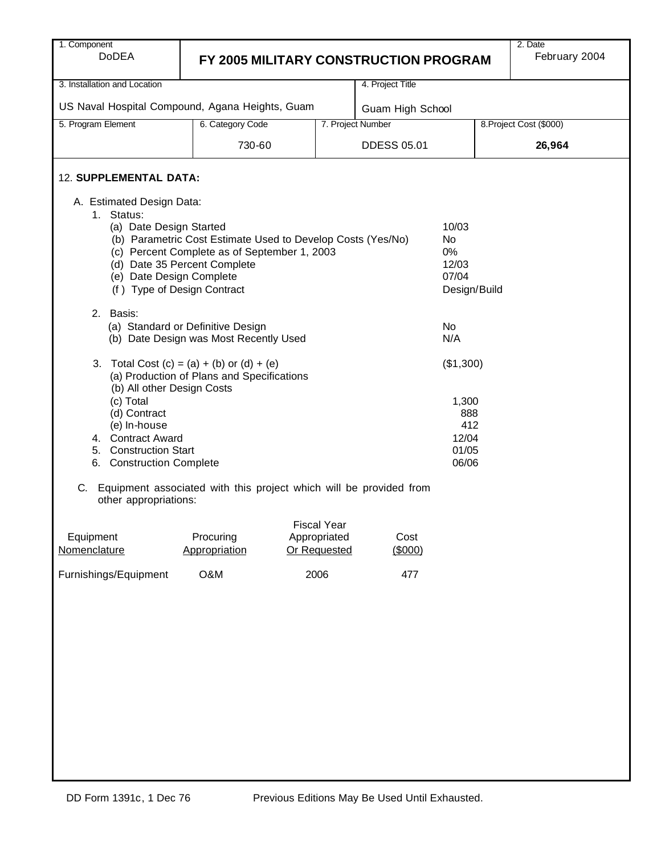| 1. Component<br><b>DoDEA</b>                                                                     |                                                                                                                                             |                              |                    |                                                               | 2. Date<br>February 2004 |  |
|--------------------------------------------------------------------------------------------------|---------------------------------------------------------------------------------------------------------------------------------------------|------------------------------|--------------------|---------------------------------------------------------------|--------------------------|--|
|                                                                                                  | FY 2005 MILITARY CONSTRUCTION PROGRAM                                                                                                       |                              |                    |                                                               |                          |  |
| 3. Installation and Location                                                                     |                                                                                                                                             |                              | 4. Project Title   |                                                               |                          |  |
|                                                                                                  | US Naval Hospital Compound, Agana Heights, Guam                                                                                             |                              | Guam High School   |                                                               |                          |  |
| 5. Program Element                                                                               | 6. Category Code                                                                                                                            |                              | 7. Project Number  |                                                               | 8. Project Cost (\$000)  |  |
|                                                                                                  | 730-60                                                                                                                                      |                              | <b>DDESS 05.01</b> |                                                               | 26,964                   |  |
| 12. SUPPLEMENTAL DATA:                                                                           |                                                                                                                                             |                              |                    |                                                               |                          |  |
| A. Estimated Design Data:                                                                        |                                                                                                                                             |                              |                    |                                                               |                          |  |
| 1. Status:<br>(a) Date Design Started<br>(e) Date Design Complete<br>(f) Type of Design Contract | (b) Parametric Cost Estimate Used to Develop Costs (Yes/No)<br>(c) Percent Complete as of September 1, 2003<br>(d) Date 35 Percent Complete |                              |                    | 10/03<br><b>No</b><br>$0\%$<br>12/03<br>07/04<br>Design/Build |                          |  |
| 2. Basis:                                                                                        |                                                                                                                                             |                              |                    |                                                               |                          |  |
|                                                                                                  | (a) Standard or Definitive Design<br>(b) Date Design was Most Recently Used                                                                 |                              |                    | No<br>N/A                                                     |                          |  |
| (b) All other Design Costs                                                                       | 3. Total Cost $(c) = (a) + (b)$ or $(d) + (e)$<br>(a) Production of Plans and Specifications                                                |                              |                    | (\$1,300)                                                     |                          |  |
| (c) Total<br>(d) Contract<br>(e) In-house                                                        |                                                                                                                                             |                              |                    | 1,300<br>888<br>412                                           |                          |  |
| 4. Contract Award<br>5. Construction Start<br>6. Construction Complete                           |                                                                                                                                             |                              |                    | 12/04<br>01/05<br>06/06                                       |                          |  |
| other appropriations:                                                                            | C. Equipment associated with this project which will be provided from                                                                       |                              |                    |                                                               |                          |  |
|                                                                                                  |                                                                                                                                             | <b>Fiscal Year</b>           |                    |                                                               |                          |  |
| Equipment<br>Nomenclature                                                                        | Procuring<br>Appropriation                                                                                                                  | Appropriated<br>Or Requested | Cost<br>(\$000)    |                                                               |                          |  |
| Furnishings/Equipment                                                                            | O&M                                                                                                                                         | 2006                         | 477                |                                                               |                          |  |
|                                                                                                  |                                                                                                                                             |                              |                    |                                                               |                          |  |
|                                                                                                  |                                                                                                                                             |                              |                    |                                                               |                          |  |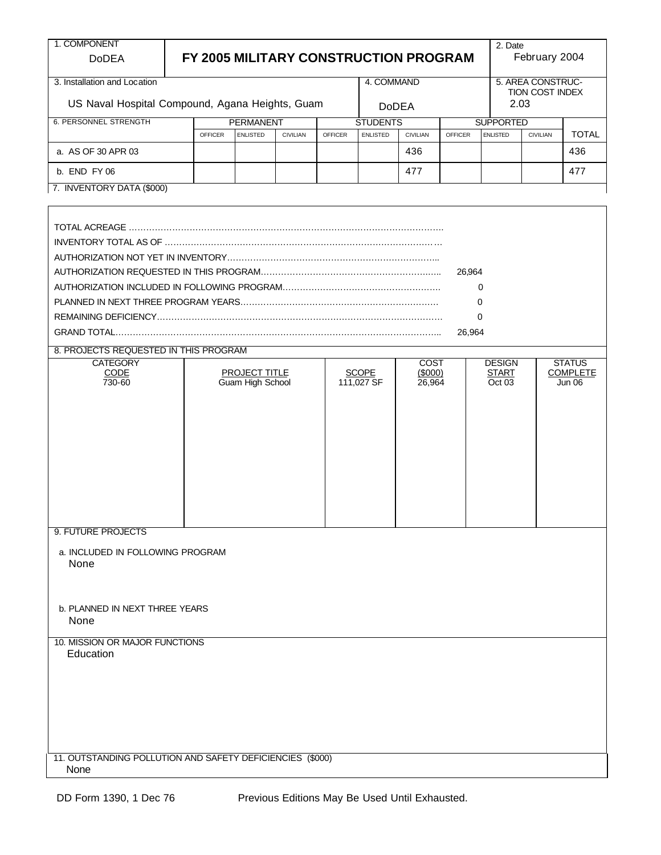| 1. COMPONENT<br><b>DoDEA</b>                                      |                |                                     |                 |                | FY 2005 MILITARY CONSTRUCTION PROGRAM                 |             |                | 2. Date                             | February 2004                  |                 |  |  |
|-------------------------------------------------------------------|----------------|-------------------------------------|-----------------|----------------|-------------------------------------------------------|-------------|----------------|-------------------------------------|--------------------------------|-----------------|--|--|
| 3. Installation and Location                                      |                |                                     |                 |                | 4. COMMAND                                            |             |                |                                     | 5. AREA CONSTRUC-              |                 |  |  |
| US Naval Hospital Compound, Agana Heights, Guam                   |                |                                     |                 |                | <b>DoDEA</b>                                          |             |                |                                     | <b>TION COST INDEX</b><br>2.03 |                 |  |  |
| <b>6. PERSONNEL STRENGTH</b>                                      | <b>OFFICER</b> | <b>PERMANENT</b><br><b>ENLISTED</b> | <b>CIVILIAN</b> | <b>OFFICER</b> | <b>STUDENTS</b><br><b>ENLISTED</b><br><b>CIVILIAN</b> |             | <b>OFFICER</b> | <b>SUPPORTED</b><br><b>ENLISTED</b> | <b>CIVILIAN</b>                | <b>TOTAL</b>    |  |  |
| a. AS OF 30 APR 03                                                |                |                                     |                 |                |                                                       | 436         |                |                                     |                                | 436             |  |  |
|                                                                   |                |                                     |                 |                |                                                       |             |                |                                     |                                |                 |  |  |
| b. END FY 06<br>7. INVENTORY DATA (\$000)                         |                |                                     |                 |                |                                                       | 477         |                |                                     |                                | 477             |  |  |
|                                                                   |                |                                     |                 |                |                                                       |             |                |                                     |                                |                 |  |  |
|                                                                   |                |                                     |                 |                |                                                       |             |                |                                     |                                |                 |  |  |
|                                                                   |                |                                     |                 |                |                                                       |             |                |                                     |                                |                 |  |  |
|                                                                   |                |                                     |                 |                |                                                       |             |                |                                     |                                |                 |  |  |
|                                                                   |                |                                     |                 |                |                                                       |             | 26,964         |                                     |                                |                 |  |  |
|                                                                   |                |                                     |                 |                |                                                       |             |                | 0                                   |                                |                 |  |  |
|                                                                   |                |                                     |                 |                |                                                       |             |                | $\Omega$                            |                                |                 |  |  |
|                                                                   |                |                                     |                 |                |                                                       |             |                | 0                                   |                                |                 |  |  |
|                                                                   |                |                                     |                 |                |                                                       |             | 26,964         |                                     |                                |                 |  |  |
| 8. PROJECTS REQUESTED IN THIS PROGRAM<br><b>CATEGORY</b>          |                |                                     |                 |                |                                                       | <b>COST</b> |                | <b>DESIGN</b>                       |                                | <b>STATUS</b>   |  |  |
| CODE                                                              |                | <b>PROJECT TITLE</b>                |                 |                | <b>SCOPE</b>                                          | (\$000)     |                | <b>START</b>                        |                                | <b>COMPLETE</b> |  |  |
| 730-60                                                            |                | Guam High School                    |                 |                | 111,027 SF                                            | 26,964      |                | Oct 03                              |                                | Jun 06          |  |  |
|                                                                   |                |                                     |                 |                |                                                       |             |                |                                     |                                |                 |  |  |
|                                                                   |                |                                     |                 |                |                                                       |             |                |                                     |                                |                 |  |  |
|                                                                   |                |                                     |                 |                |                                                       |             |                |                                     |                                |                 |  |  |
|                                                                   |                |                                     |                 |                |                                                       |             |                |                                     |                                |                 |  |  |
|                                                                   |                |                                     |                 |                |                                                       |             |                |                                     |                                |                 |  |  |
|                                                                   |                |                                     |                 |                |                                                       |             |                |                                     |                                |                 |  |  |
|                                                                   |                |                                     |                 |                |                                                       |             |                |                                     |                                |                 |  |  |
|                                                                   |                |                                     |                 |                |                                                       |             |                |                                     |                                |                 |  |  |
| 9. FUTURE PROJECTS                                                |                |                                     |                 |                |                                                       |             |                |                                     |                                |                 |  |  |
| a. INCLUDED IN FOLLOWING PROGRAM                                  |                |                                     |                 |                |                                                       |             |                |                                     |                                |                 |  |  |
| None                                                              |                |                                     |                 |                |                                                       |             |                |                                     |                                |                 |  |  |
|                                                                   |                |                                     |                 |                |                                                       |             |                |                                     |                                |                 |  |  |
|                                                                   |                |                                     |                 |                |                                                       |             |                |                                     |                                |                 |  |  |
| b. PLANNED IN NEXT THREE YEARS                                    |                |                                     |                 |                |                                                       |             |                |                                     |                                |                 |  |  |
| None                                                              |                |                                     |                 |                |                                                       |             |                |                                     |                                |                 |  |  |
| 10. MISSION OR MAJOR FUNCTIONS                                    |                |                                     |                 |                |                                                       |             |                |                                     |                                |                 |  |  |
| Education                                                         |                |                                     |                 |                |                                                       |             |                |                                     |                                |                 |  |  |
|                                                                   |                |                                     |                 |                |                                                       |             |                |                                     |                                |                 |  |  |
|                                                                   |                |                                     |                 |                |                                                       |             |                |                                     |                                |                 |  |  |
|                                                                   |                |                                     |                 |                |                                                       |             |                |                                     |                                |                 |  |  |
|                                                                   |                |                                     |                 |                |                                                       |             |                |                                     |                                |                 |  |  |
|                                                                   |                |                                     |                 |                |                                                       |             |                |                                     |                                |                 |  |  |
|                                                                   |                |                                     |                 |                |                                                       |             |                |                                     |                                |                 |  |  |
| 11. OUTSTANDING POLLUTION AND SAFETY DEFICIENCIES (\$000)<br>None |                |                                     |                 |                |                                                       |             |                |                                     |                                |                 |  |  |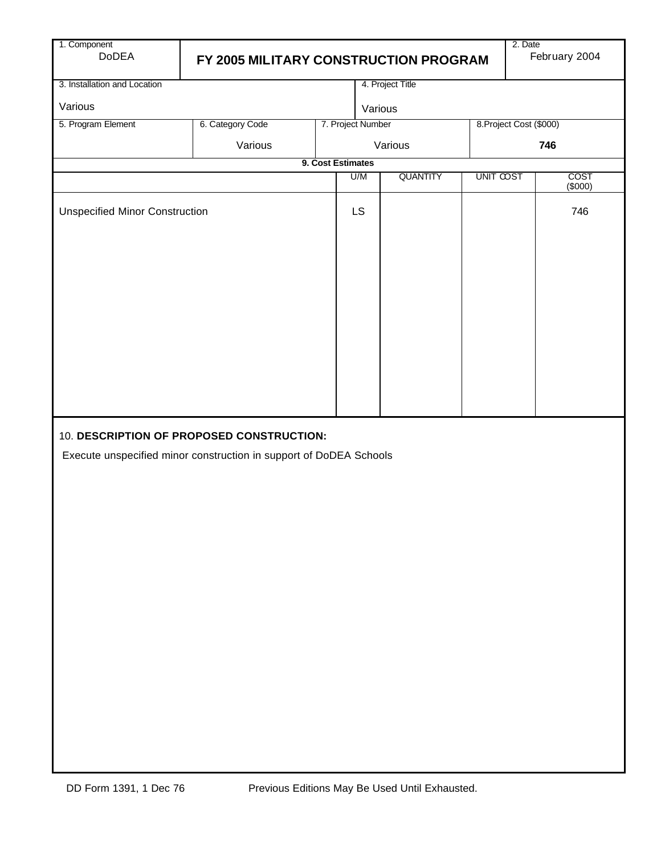| 2. Date<br>February 2004<br>FY 2005 MILITARY CONSTRUCTION PROGRAM |  |                                                               |                                                                                                                                                      |                                             |  |  |  |  |  |  |  |
|-------------------------------------------------------------------|--|---------------------------------------------------------------|------------------------------------------------------------------------------------------------------------------------------------------------------|---------------------------------------------|--|--|--|--|--|--|--|
|                                                                   |  |                                                               |                                                                                                                                                      |                                             |  |  |  |  |  |  |  |
|                                                                   |  |                                                               |                                                                                                                                                      |                                             |  |  |  |  |  |  |  |
| 6. Category Code                                                  |  |                                                               |                                                                                                                                                      |                                             |  |  |  |  |  |  |  |
| Various                                                           |  |                                                               |                                                                                                                                                      | 746                                         |  |  |  |  |  |  |  |
| 9. Cost Estimates<br>COST                                         |  |                                                               |                                                                                                                                                      |                                             |  |  |  |  |  |  |  |
|                                                                   |  |                                                               |                                                                                                                                                      | (\$000)                                     |  |  |  |  |  |  |  |
| <b>Unspecified Minor Construction</b>                             |  |                                                               |                                                                                                                                                      | 746                                         |  |  |  |  |  |  |  |
|                                                                   |  |                                                               |                                                                                                                                                      |                                             |  |  |  |  |  |  |  |
|                                                                   |  | U/M<br><b>LS</b><br>10. DESCRIPTION OF PROPOSED CONSTRUCTION: | 4. Project Title<br>Various<br>7. Project Number<br>Various<br><b>QUANTITY</b><br>Execute unspecified minor construction in support of DoDEA Schools | 8. Project Cost (\$000)<br><b>UNIT COST</b> |  |  |  |  |  |  |  |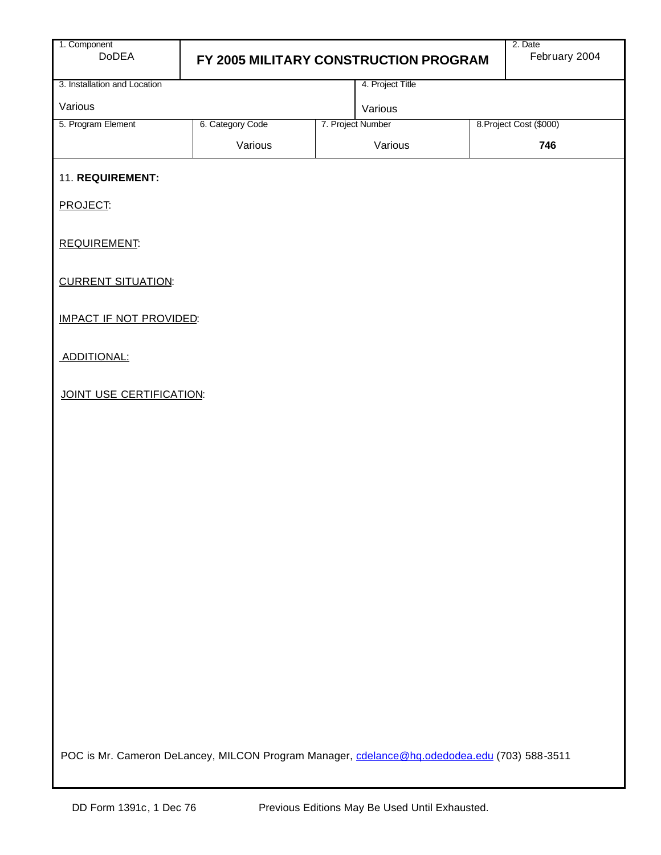| 1. Component<br><b>DoDEA</b>   |                  | FY 2005 MILITARY CONSTRUCTION PROGRAM                                                        | 2. Date<br>February 2004 |
|--------------------------------|------------------|----------------------------------------------------------------------------------------------|--------------------------|
| 3. Installation and Location   |                  | 4. Project Title                                                                             |                          |
| Various                        |                  | Various                                                                                      |                          |
| 5. Program Element             | 6. Category Code | 7. Project Number                                                                            | 8. Project Cost (\$000)  |
|                                | Various          | Various                                                                                      | 746                      |
| 11. REQUIREMENT:               |                  |                                                                                              |                          |
| <b>PROJECT:</b>                |                  |                                                                                              |                          |
| REQUIREMENT:                   |                  |                                                                                              |                          |
| <b>CURRENT SITUATION:</b>      |                  |                                                                                              |                          |
| <b>IMPACT IF NOT PROVIDED:</b> |                  |                                                                                              |                          |
| ADDITIONAL:                    |                  |                                                                                              |                          |
| JOINT USE CERTIFICATION:       |                  |                                                                                              |                          |
|                                |                  |                                                                                              |                          |
|                                |                  |                                                                                              |                          |
|                                |                  |                                                                                              |                          |
|                                |                  |                                                                                              |                          |
|                                |                  |                                                                                              |                          |
|                                |                  |                                                                                              |                          |
|                                |                  |                                                                                              |                          |
|                                |                  |                                                                                              |                          |
|                                |                  |                                                                                              |                          |
|                                |                  |                                                                                              |                          |
|                                |                  |                                                                                              |                          |
|                                |                  | POC is Mr. Cameron DeLancey, MILCON Program Manager, cdelance@hq.odedodea.edu (703) 588-3511 |                          |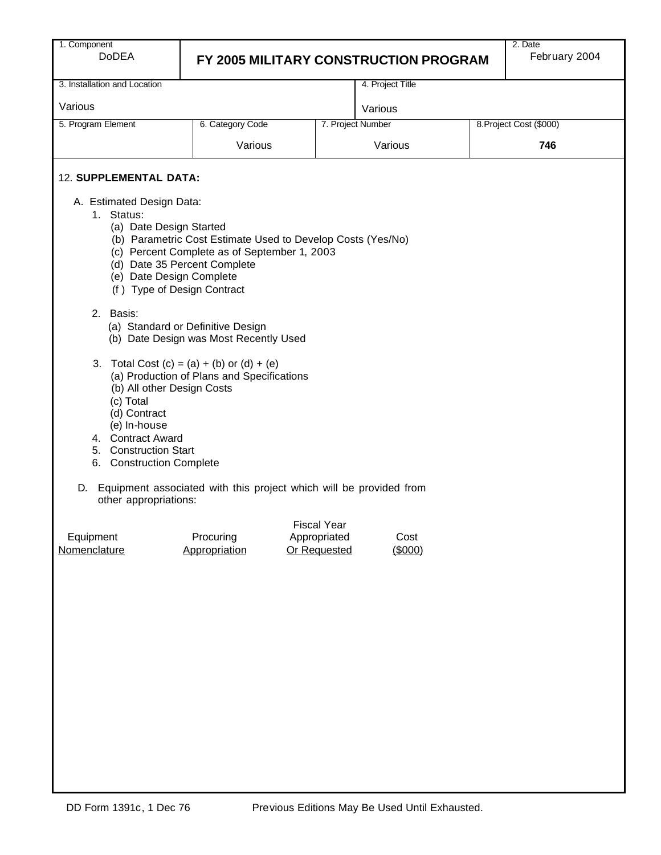| 1. Component |
|--------------|
| DoDE.        |

# **EXAMPLE THE FY 2005 MILITARY CONSTRUCTION PROGRAM**

| 3. Installation and Location                                                                                                                                                                                                                         |                                                                                                             |                                                    | 4. Project Title  |  |                         |  |  |  |  |  |
|------------------------------------------------------------------------------------------------------------------------------------------------------------------------------------------------------------------------------------------------------|-------------------------------------------------------------------------------------------------------------|----------------------------------------------------|-------------------|--|-------------------------|--|--|--|--|--|
| Various                                                                                                                                                                                                                                              |                                                                                                             |                                                    | Various           |  |                         |  |  |  |  |  |
| 5. Program Element                                                                                                                                                                                                                                   | 6. Category Code                                                                                            |                                                    | 7. Project Number |  | 8. Project Cost (\$000) |  |  |  |  |  |
|                                                                                                                                                                                                                                                      | Various                                                                                                     |                                                    | Various<br>746    |  |                         |  |  |  |  |  |
| 12. SUPPLEMENTAL DATA:                                                                                                                                                                                                                               |                                                                                                             |                                                    |                   |  |                         |  |  |  |  |  |
| A. Estimated Design Data:<br>Status:<br>1.<br>(a) Date Design Started<br>(d) Date 35 Percent Complete<br>(e) Date Design Complete<br>(f) Type of Design Contract                                                                                     | (b) Parametric Cost Estimate Used to Develop Costs (Yes/No)<br>(c) Percent Complete as of September 1, 2003 |                                                    |                   |  |                         |  |  |  |  |  |
| 2. Basis:                                                                                                                                                                                                                                            | (a) Standard or Definitive Design<br>(b) Date Design was Most Recently Used                                 |                                                    |                   |  |                         |  |  |  |  |  |
| Total Cost $(c) = (a) + (b)$ or $(d) + (e)$<br>3.<br>(a) Production of Plans and Specifications<br>(b) All other Design Costs<br>(c) Total<br>(d) Contract<br>(e) In-house<br>4. Contract Award<br>5. Construction Start<br>6. Construction Complete |                                                                                                             |                                                    |                   |  |                         |  |  |  |  |  |
| D.<br>other appropriations:                                                                                                                                                                                                                          | Equipment associated with this project which will be provided from                                          |                                                    |                   |  |                         |  |  |  |  |  |
| Equipment<br>Nomenclature                                                                                                                                                                                                                            | Procuring<br>Appropriation                                                                                  | <b>Fiscal Year</b><br>Appropriated<br>Or Requested | Cost<br>(\$000)   |  |                         |  |  |  |  |  |
|                                                                                                                                                                                                                                                      |                                                                                                             |                                                    |                   |  |                         |  |  |  |  |  |